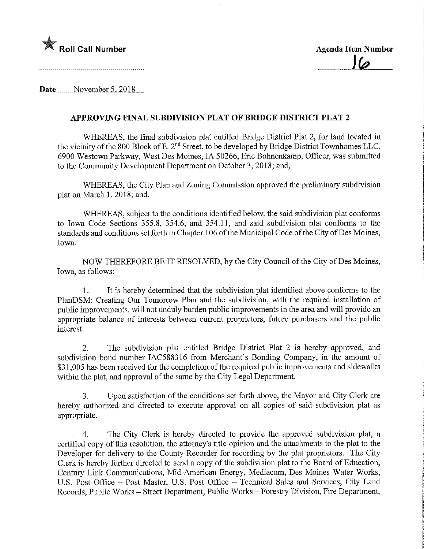

Date November 5, 2018

## APPROVING FINAL SUBDIVISION PLAT OF BRIDGE DISTRICT PLAT 2

WHEREAS, the final subdivision plat entitled Bridge District Plat 2, for land located in the vicinity of the 800 Block of E. 2nd Street, to be developed by Bridge District Townhomes LLC, 6900 Westown Parkway, West Des Moines, IA 50266, Eric Bohnenkamp, Officer, was submitted to the Community Development Department on October 3, 2018; and,

WHEREAS, the City Plan and Zoning Commission approved the preliminary subdivision plat on March 1, 2018; and,

WHEREAS, subject to the conditions identified below, the said subdivision plat conforms to Iowa Code Sections 355.8, 354.6, and 354.11, and said subdivision plat conforms to the standards and conditions set forth in Chapter 106 of the Municipal Code of the City of Des Moines, Iowa.

NOW THEREFORE BE IT RESOLVED, by the City Council of the City of Des Moines, Iowa, as follows:

1. It is hereby determmed that the subdivision plat identified above conforms to the PIanDSM: Creating Our Tomorrow Plan and the subdivision, with the required installation of public improvements, will not unduly burden public improvements in the area and will provide an appropriate balance of interests between current proprietors, future purchasers and the public interest.

2. The subdivision plat entitled Bridge District Plat 2 is hereby approved, and subdivision bond number IAC588316 from Merchant's Bonding Company, in the amount of \$31,005 has been received for the completion of the required public improvements and sidewalks within the plat, and approval of the same by the City Legal Department.

3. Upon satisfaction of the conditions set forth above, the Mayor and City Clerk are hereby authorized and directed to execute approval on all copies of said subdivision plat as appropriate.

4. The City Clerk is hereby directed to provide the approved subdivision plat, a certified copy of this resolution, the attorney's title opinion and the attachments to the plat to the Developer for delivery to the County Recorder for recording by the plat proprietors. The City Clerk is hereby further directed to send a copy of the subdivision plat to the Board of Education, Century Link Communications, Mid-American Energy, Mediacom, Des Moines Water Works, U.S. Post Office - Post Master, U.S. Post Office - Technical Sales and Services, City Land Records, Public Works - Street Department, Public Works - Forestry Division, Fire Department,